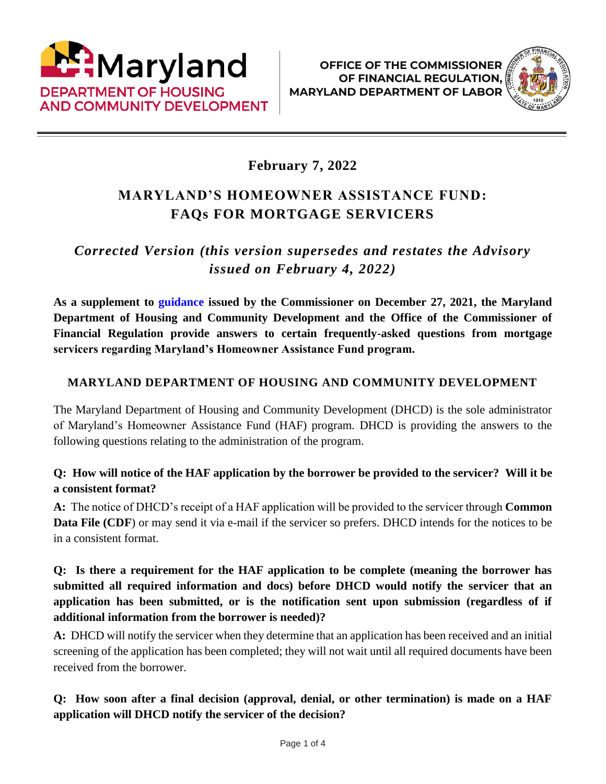



# **February 7, 2022**

# **MARYLAND'S HOMEOWNER ASSISTANCE FUND: FAQs FOR MORTGAGE SERVICERS**

# *Corrected Version (this version supersedes and restates the Advisory issued on February 4, 2022)*

**As a supplement to [guidance](http://www.labor.maryland.gov/finance/advisories/advisory-hafguidance.pdf) issued by the Commissioner on December 27, 2021, the Maryland Department of Housing and Community Development and the Office of the Commissioner of Financial Regulation provide answers to certain frequently-asked questions from mortgage servicers regarding Maryland's Homeowner Assistance Fund program.**

## **MARYLAND DEPARTMENT OF HOUSING AND COMMUNITY DEVELOPMENT**

The Maryland Department of Housing and Community Development (DHCD) is the sole administrator of Maryland's Homeowner Assistance Fund (HAF) program. DHCD is providing the answers to the following questions relating to the administration of the program.

#### **Q: How will notice of the HAF application by the borrower be provided to the servicer? Will it be a consistent format?**

**A:** The notice of DHCD's receipt of a HAF application will be provided to the servicer through **Common Data File (CDF)** or may send it via e-mail if the servicer so prefers. DHCD intends for the notices to be in a consistent format.

# **Q: Is there a requirement for the HAF application to be complete (meaning the borrower has submitted all required information and docs) before DHCD would notify the servicer that an application has been submitted, or is the notification sent upon submission (regardless of if additional information from the borrower is needed)?**

**A:** DHCD will notify the servicer when they determine that an application has been received and an initial screening of the application has been completed; they will not wait until all required documents have been received from the borrower.

## **Q: How soon after a final decision (approval, denial, or other termination) is made on a HAF application will DHCD notify the servicer of the decision?**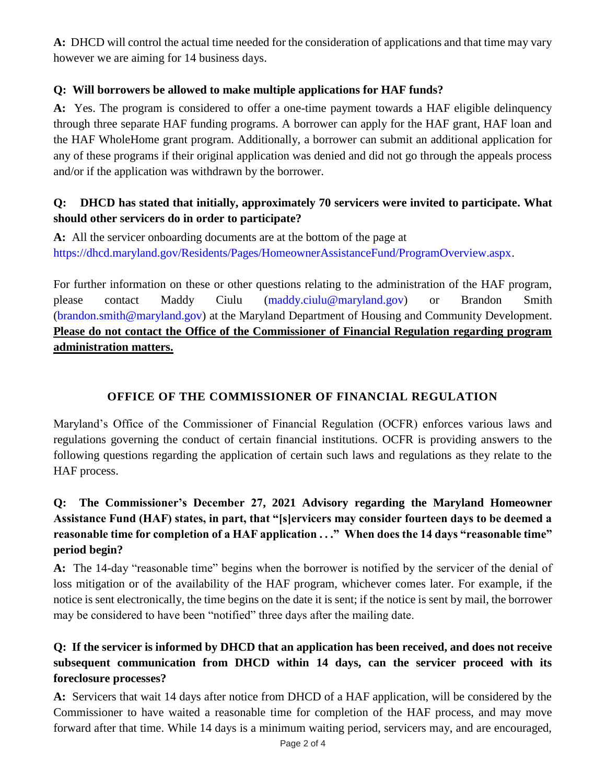**A:** DHCD will control the actual time needed for the consideration of applications and that time may vary however we are aiming for 14 business days.

#### **Q: Will borrowers be allowed to make multiple applications for HAF funds?**

**A:** Yes. The program is considered to offer a one-time payment towards a HAF eligible delinquency through three separate HAF funding programs. A borrower can apply for the HAF grant, HAF loan and the HAF WholeHome grant program. Additionally, a borrower can submit an additional application for any of these programs if their original application was denied and did not go through the appeals process and/or if the application was withdrawn by the borrower.

## **Q: DHCD has stated that initially, approximately 70 servicers were invited to participate. What should other servicers do in order to participate?**

**A:** All the servicer onboarding documents are at the bottom of the page at [https://dhcd.maryland.gov/Residents/Pages/HomeownerAssistanceFund/ProgramOverview.aspx.](https://dhcd.maryland.gov/Residents/Pages/HomeownerAssistanceFund/ProgramOverview.aspx)

For further information on these or other questions relating to the administration of the HAF program, please contact Maddy Ciulu [\(maddy.ciulu@maryland.gov\)](mailto:maddy.ciulu@maryland.gov) or Brandon Smith [\(brandon.smith@maryland.gov\)](mailto:brandon.smith@maryland.gov) at the Maryland Department of Housing and Community Development. **Please do not contact the Office of the Commissioner of Financial Regulation regarding program administration matters.**

# **OFFICE OF THE COMMISSIONER OF FINANCIAL REGULATION**

Maryland's Office of the Commissioner of Financial Regulation (OCFR) enforces various laws and regulations governing the conduct of certain financial institutions. OCFR is providing answers to the following questions regarding the application of certain such laws and regulations as they relate to the HAF process.

# **Q: The Commissioner's December 27, 2021 Advisory regarding the Maryland Homeowner Assistance Fund (HAF) states, in part, that "[s]ervicers may consider fourteen days to be deemed a reasonable time for completion of a HAF application . . ." When does the 14 days "reasonable time" period begin?**

**A:** The 14-day "reasonable time" begins when the borrower is notified by the servicer of the denial of loss mitigation or of the availability of the HAF program, whichever comes later. For example, if the notice is sent electronically, the time begins on the date it is sent; if the notice is sent by mail, the borrower may be considered to have been "notified" three days after the mailing date.

### **Q: If the servicer is informed by DHCD that an application has been received, and does not receive subsequent communication from DHCD within 14 days, can the servicer proceed with its foreclosure processes?**

**A:** Servicers that wait 14 days after notice from DHCD of a HAF application, will be considered by the Commissioner to have waited a reasonable time for completion of the HAF process, and may move forward after that time. While 14 days is a minimum waiting period, servicers may, and are encouraged,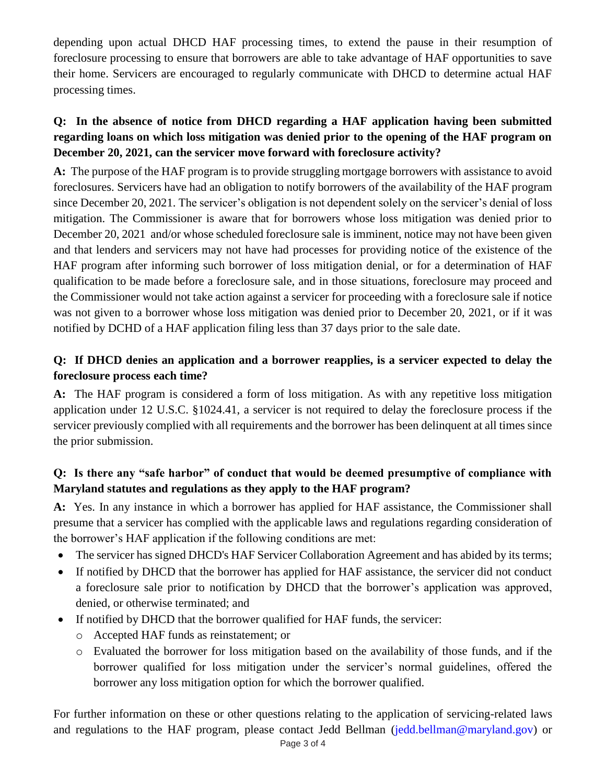depending upon actual DHCD HAF processing times, to extend the pause in their resumption of foreclosure processing to ensure that borrowers are able to take advantage of HAF opportunities to save their home. Servicers are encouraged to regularly communicate with DHCD to determine actual HAF processing times.

## **Q: In the absence of notice from DHCD regarding a HAF application having been submitted regarding loans on which loss mitigation was denied prior to the opening of the HAF program on December 20, 2021, can the servicer move forward with foreclosure activity?**

**A:** The purpose of the HAF program is to provide struggling mortgage borrowers with assistance to avoid foreclosures. Servicers have had an obligation to notify borrowers of the availability of the HAF program since December 20, 2021. The servicer's obligation is not dependent solely on the servicer's denial of loss mitigation. The Commissioner is aware that for borrowers whose loss mitigation was denied prior to December 20, 2021 and/or whose scheduled foreclosure sale is imminent, notice may not have been given and that lenders and servicers may not have had processes for providing notice of the existence of the HAF program after informing such borrower of loss mitigation denial, or for a determination of HAF qualification to be made before a foreclosure sale, and in those situations, foreclosure may proceed and the Commissioner would not take action against a servicer for proceeding with a foreclosure sale if notice was not given to a borrower whose loss mitigation was denied prior to December 20, 2021, or if it was notified by DCHD of a HAF application filing less than 37 days prior to the sale date.

## **Q: If DHCD denies an application and a borrower reapplies, is a servicer expected to delay the foreclosure process each time?**

**A:** The HAF program is considered a form of loss mitigation. As with any repetitive loss mitigation application under 12 U.S.C. §1024.41, a servicer is not required to delay the foreclosure process if the servicer previously complied with all requirements and the borrower has been delinquent at all times since the prior submission.

#### **Q: Is there any "safe harbor" of conduct that would be deemed presumptive of compliance with Maryland statutes and regulations as they apply to the HAF program?**

**A:** Yes. In any instance in which a borrower has applied for HAF assistance, the Commissioner shall presume that a servicer has complied with the applicable laws and regulations regarding consideration of the borrower's HAF application if the following conditions are met:

- The servicer has signed DHCD's HAF Servicer Collaboration Agreement and has abided by its terms;
- If notified by DHCD that the borrower has applied for HAF assistance, the servicer did not conduct a foreclosure sale prior to notification by DHCD that the borrower's application was approved, denied, or otherwise terminated; and
- If notified by DHCD that the borrower qualified for HAF funds, the servicer:
	- o Accepted HAF funds as reinstatement; or
	- o Evaluated the borrower for loss mitigation based on the availability of those funds, and if the borrower qualified for loss mitigation under the servicer's normal guidelines, offered the borrower any loss mitigation option for which the borrower qualified.

For further information on these or other questions relating to the application of servicing-related laws and regulations to the HAF program, please contact Jedd Bellman [\(jedd.bellman@maryland.gov\)](mailto:jedd.bellman@maryland.gov) or